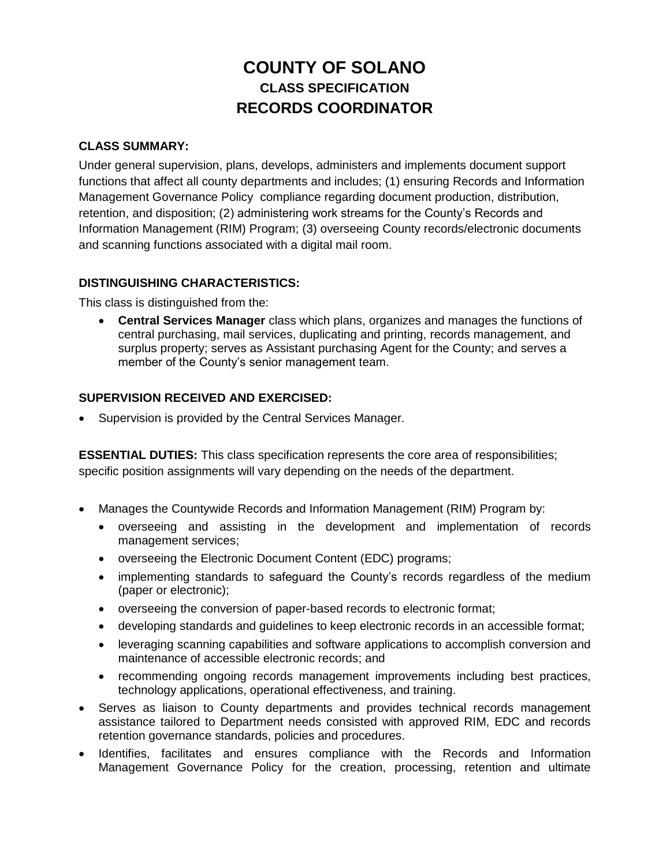# **COUNTY OF SOLANO CLASS SPECIFICATION RECORDS COORDINATOR**

## **CLASS SUMMARY:**

Under general supervision, plans, develops, administers and implements document support functions that affect all county departments and includes; (1) ensuring Records and Information Management Governance Policy compliance regarding document production, distribution, retention, and disposition; (2) administering work streams for the County's Records and Information Management (RIM) Program; (3) overseeing County records/electronic documents and scanning functions associated with a digital mail room.

## **DISTINGUISHING CHARACTERISTICS:**

This class is distinguished from the:

 **Central Services Manager** class which plans, organizes and manages the functions of central purchasing, mail services, duplicating and printing, records management, and surplus property; serves as Assistant purchasing Agent for the County; and serves a member of the County's senior management team.

## **SUPERVISION RECEIVED AND EXERCISED:**

Supervision is provided by the Central Services Manager.

**ESSENTIAL DUTIES:** This class specification represents the core area of responsibilities; specific position assignments will vary depending on the needs of the department.

- Manages the Countywide Records and Information Management (RIM) Program by:
	- overseeing and assisting in the development and implementation of records management services;
	- overseeing the Electronic Document Content (EDC) programs;
	- implementing standards to safeguard the County's records regardless of the medium (paper or electronic);
	- overseeing the conversion of paper-based records to electronic format;
	- developing standards and guidelines to keep electronic records in an accessible format;
	- leveraging scanning capabilities and software applications to accomplish conversion and maintenance of accessible electronic records; and
	- recommending ongoing records management improvements including best practices, technology applications, operational effectiveness, and training.
- Serves as liaison to County departments and provides technical records management assistance tailored to Department needs consisted with approved RIM, EDC and records retention governance standards, policies and procedures.
- Identifies, facilitates and ensures compliance with the Records and Information Management Governance Policy for the creation, processing, retention and ultimate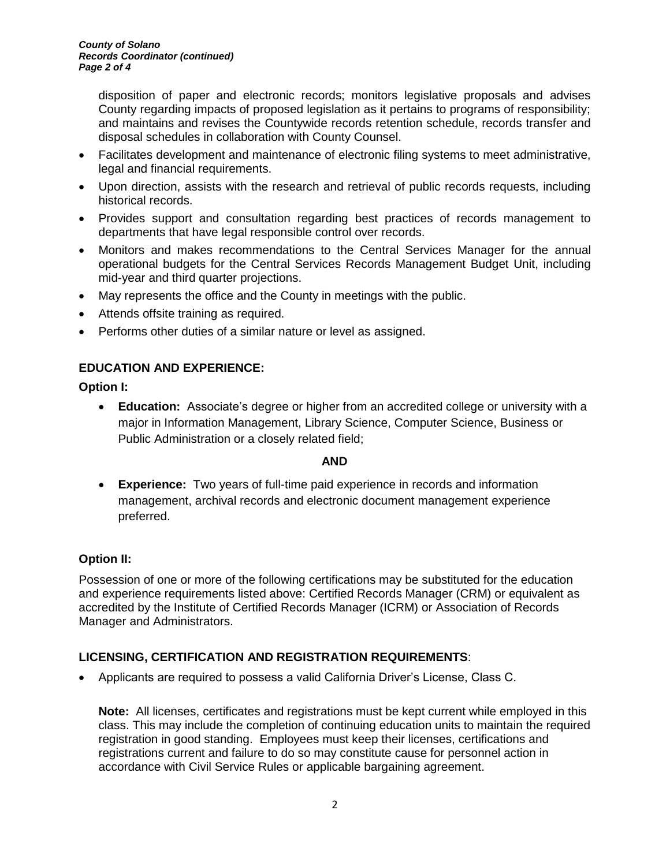disposition of paper and electronic records; monitors legislative proposals and advises County regarding impacts of proposed legislation as it pertains to programs of responsibility; and maintains and revises the Countywide records retention schedule, records transfer and disposal schedules in collaboration with County Counsel.

- Facilitates development and maintenance of electronic filing systems to meet administrative, legal and financial requirements.
- Upon direction, assists with the research and retrieval of public records requests, including historical records.
- Provides support and consultation regarding best practices of records management to departments that have legal responsible control over records.
- Monitors and makes recommendations to the Central Services Manager for the annual operational budgets for the Central Services Records Management Budget Unit, including mid-year and third quarter projections.
- May represents the office and the County in meetings with the public.
- Attends offsite training as required.
- Performs other duties of a similar nature or level as assigned.

## **EDUCATION AND EXPERIENCE:**

**Option I:** 

 **Education:** Associate's degree or higher from an accredited college or university with a major in Information Management, Library Science, Computer Science, Business or Public Administration or a closely related field;

## **AND**

 **Experience:** Two years of full-time paid experience in records and information management, archival records and electronic document management experience preferred.

## **Option II:**

Possession of one or more of the following certifications may be substituted for the education and experience requirements listed above: Certified Records Manager (CRM) or equivalent as accredited by the Institute of Certified Records Manager (ICRM) or Association of Records Manager and Administrators.

# **LICENSING, CERTIFICATION AND REGISTRATION REQUIREMENTS**:

Applicants are required to possess a valid California Driver's License, Class C.

**Note:** All licenses, certificates and registrations must be kept current while employed in this class. This may include the completion of continuing education units to maintain the required registration in good standing. Employees must keep their licenses, certifications and registrations current and failure to do so may constitute cause for personnel action in accordance with Civil Service Rules or applicable bargaining agreement.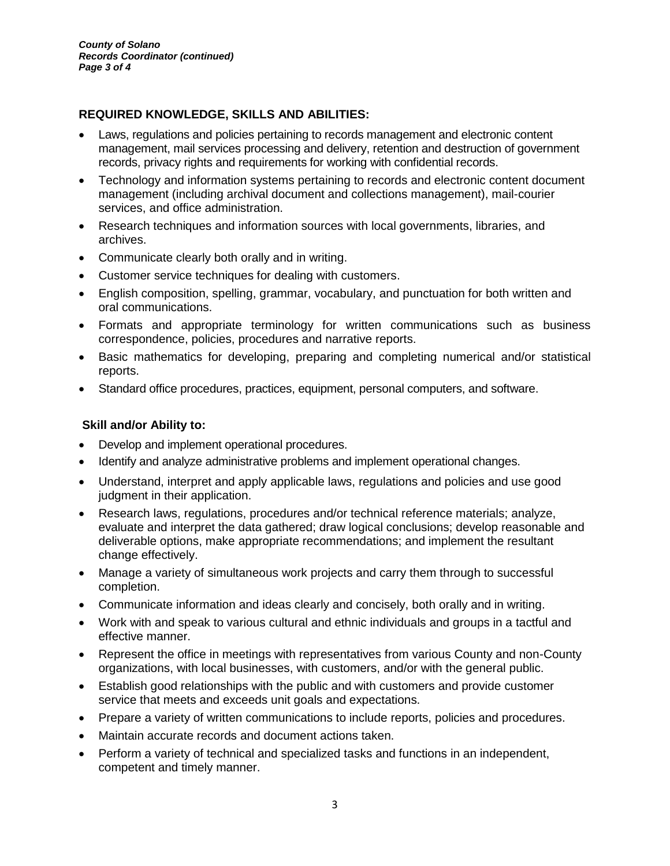# **REQUIRED KNOWLEDGE, SKILLS AND ABILITIES:**

- Laws, regulations and policies pertaining to records management and electronic content management, mail services processing and delivery, retention and destruction of government records, privacy rights and requirements for working with confidential records.
- Technology and information systems pertaining to records and electronic content document management (including archival document and collections management), mail-courier services, and office administration.
- Research techniques and information sources with local governments, libraries, and archives.
- Communicate clearly both orally and in writing.
- Customer service techniques for dealing with customers.
- English composition, spelling, grammar, vocabulary, and punctuation for both written and oral communications.
- Formats and appropriate terminology for written communications such as business correspondence, policies, procedures and narrative reports.
- Basic mathematics for developing, preparing and completing numerical and/or statistical reports.
- Standard office procedures, practices, equipment, personal computers, and software.

#### **Skill and/or Ability to:**

- Develop and implement operational procedures.
- Identify and analyze administrative problems and implement operational changes.
- Understand, interpret and apply applicable laws, regulations and policies and use good judgment in their application.
- Research laws, regulations, procedures and/or technical reference materials; analyze, evaluate and interpret the data gathered; draw logical conclusions; develop reasonable and deliverable options, make appropriate recommendations; and implement the resultant change effectively.
- Manage a variety of simultaneous work projects and carry them through to successful completion.
- Communicate information and ideas clearly and concisely, both orally and in writing.
- Work with and speak to various cultural and ethnic individuals and groups in a tactful and effective manner.
- Represent the office in meetings with representatives from various County and non-County organizations, with local businesses, with customers, and/or with the general public.
- Establish good relationships with the public and with customers and provide customer service that meets and exceeds unit goals and expectations.
- Prepare a variety of written communications to include reports, policies and procedures.
- Maintain accurate records and document actions taken.
- Perform a variety of technical and specialized tasks and functions in an independent, competent and timely manner.